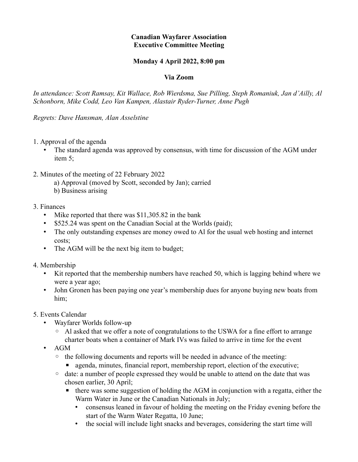## **Canadian Wayfarer Association Executive Committee Meeting**

## **Monday 4 April 2022, 8:00 pm**

## **Via Zoom**

*In attendance: Scott Ramsay, Kit Wallace, Rob Wierdsma, Sue Pilling, Steph Romaniuk, Jan d'Ailly, Al Schonborn, Mike Codd, Leo Van Kampen, Alastair Ryder-Turner, Anne Pugh* 

*Regrets: Dave Hansman, Alan Asselstine*

- 1. Approval of the agenda
	- The standard agenda was approved by consensus, with time for discussion of the AGM under item 5;
- 2. Minutes of the meeting of 22 February 2022
	- a) Approval (moved by Scott, seconded by Jan); carried
	- b) Business arising

## 3. Finances

- Mike reported that there was \$11,305.82 in the bank
- \$525.24 was spent on the Canadian Social at the Worlds (paid);
- The only outstanding expenses are money owed to Al for the usual web hosting and internet costs;
- The AGM will be the next big item to budget;
- 4. Membership
	- Kit reported that the membership numbers have reached 50, which is lagging behind where we were a year ago;
	- John Gronen has been paying one year's membership dues for anyone buying new boats from him;
- 5. Events Calendar
	- Wayfarer Worlds follow-up
		- Al asked that we offer a note of congratulations to the USWA for a fine effort to arrange charter boats when a container of Mark IVs was failed to arrive in time for the event
	- AGM
		- the following documents and reports will be needed in advance of the meeting:
			- **Exercise** agenda, minutes, financial report, membership report, election of the executive;
		- date: a number of people expressed they would be unable to attend on the date that was chosen earlier, 30 April;
			- there was some suggestion of holding the AGM in conjunction with a regatta, either the Warm Water in June or the Canadian Nationals in July;
				- consensus leaned in favour of holding the meeting on the Friday evening before the start of the Warm Water Regatta, 10 June;
				- the social will include light snacks and beverages, considering the start time will